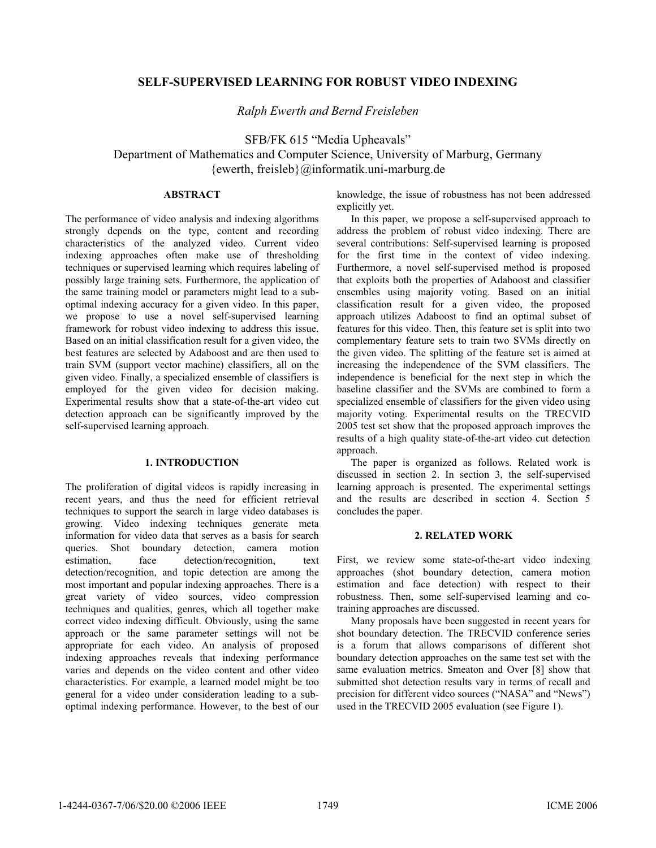# **SELF-SUPERVISED LEARNING FOR ROBUST VIDEO INDEXING**

*Ralph Ewerth and Bernd Freisleben* 

SFB/FK 615 "Media Upheavals" Department of Mathematics and Computer Science, University of Marburg, Germany {ewerth, freisleb}@informatik.uni-marburg.de

# **ABSTRACT**

The performance of video analysis and indexing algorithms strongly depends on the type, content and recording characteristics of the analyzed video. Current video indexing approaches often make use of thresholding techniques or supervised learning which requires labeling of possibly large training sets. Furthermore, the application of the same training model or parameters might lead to a suboptimal indexing accuracy for a given video. In this paper, we propose to use a novel self-supervised learning framework for robust video indexing to address this issue. Based on an initial classification result for a given video, the best features are selected by Adaboost and are then used to train SVM (support vector machine) classifiers, all on the given video. Finally, a specialized ensemble of classifiers is employed for the given video for decision making. Experimental results show that a state-of-the-art video cut detection approach can be significantly improved by the self-supervised learning approach.

## **1. INTRODUCTION**

The proliferation of digital videos is rapidly increasing in recent years, and thus the need for efficient retrieval techniques to support the search in large video databases is growing. Video indexing techniques generate meta information for video data that serves as a basis for search queries. Shot boundary detection, camera motion estimation, face detection/recognition, text detection/recognition, and topic detection are among the most important and popular indexing approaches. There is a great variety of video sources, video compression techniques and qualities, genres, which all together make correct video indexing difficult. Obviously, using the same approach or the same parameter settings will not be appropriate for each video. An analysis of proposed indexing approaches reveals that indexing performance varies and depends on the video content and other video characteristics. For example, a learned model might be too general for a video under consideration leading to a suboptimal indexing performance. However, to the best of our

knowledge, the issue of robustness has not been addressed explicitly yet.

In this paper, we propose a self-supervised approach to address the problem of robust video indexing. There are several contributions: Self-supervised learning is proposed for the first time in the context of video indexing. Furthermore, a novel self-supervised method is proposed that exploits both the properties of Adaboost and classifier ensembles using majority voting. Based on an initial classification result for a given video, the proposed approach utilizes Adaboost to find an optimal subset of features for this video. Then, this feature set is split into two complementary feature sets to train two SVMs directly on the given video. The splitting of the feature set is aimed at increasing the independence of the SVM classifiers. The independence is beneficial for the next step in which the baseline classifier and the SVMs are combined to form a specialized ensemble of classifiers for the given video using majority voting. Experimental results on the TRECVID 2005 test set show that the proposed approach improves the results of a high quality state-of-the-art video cut detection approach.

The paper is organized as follows. Related work is discussed in section 2. In section 3, the self-supervised learning approach is presented. The experimental settings and the results are described in section 4. Section 5 concludes the paper.

# **2. RELATED WORK**

First, we review some state-of-the-art video indexing approaches (shot boundary detection, camera motion estimation and face detection) with respect to their robustness. Then, some self-supervised learning and cotraining approaches are discussed.

Many proposals have been suggested in recent years for shot boundary detection. The TRECVID conference series is a forum that allows comparisons of different shot boundary detection approaches on the same test set with the same evaluation metrics. Smeaton and Over [8] show that submitted shot detection results vary in terms of recall and precision for different video sources ("NASA" and "News") used in the TRECVID 2005 evaluation (see Figure 1).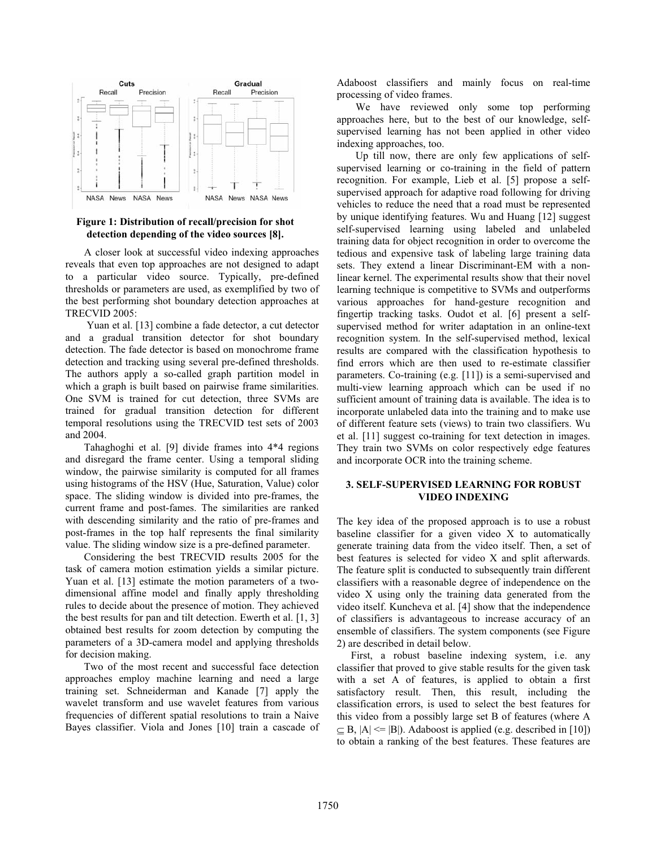

## **Figure 1: Distribution of recall/precision for shot detection depending of the video sources [8].**

A closer look at successful video indexing approaches reveals that even top approaches are not designed to adapt to a particular video source. Typically, pre-defined thresholds or parameters are used, as exemplified by two of the best performing shot boundary detection approaches at TRECVID 2005:

 Yuan et al. [13] combine a fade detector, a cut detector and a gradual transition detector for shot boundary detection. The fade detector is based on monochrome frame detection and tracking using several pre-defined thresholds. The authors apply a so-called graph partition model in which a graph is built based on pairwise frame similarities. One SVM is trained for cut detection, three SVMs are trained for gradual transition detection for different temporal resolutions using the TRECVID test sets of 2003 and 2004.

Tahaghoghi et al. [9] divide frames into 4\*4 regions and disregard the frame center. Using a temporal sliding window, the pairwise similarity is computed for all frames using histograms of the HSV (Hue, Saturation, Value) color space. The sliding window is divided into pre-frames, the current frame and post-fames. The similarities are ranked with descending similarity and the ratio of pre-frames and post-frames in the top half represents the final similarity value. The sliding window size is a pre-defined parameter.

Considering the best TRECVID results 2005 for the task of camera motion estimation yields a similar picture. Yuan et al. [13] estimate the motion parameters of a twodimensional affine model and finally apply thresholding rules to decide about the presence of motion. They achieved the best results for pan and tilt detection. Ewerth et al. [1, 3] obtained best results for zoom detection by computing the parameters of a 3D-camera model and applying thresholds for decision making.

Two of the most recent and successful face detection approaches employ machine learning and need a large training set. Schneiderman and Kanade [7] apply the wavelet transform and use wavelet features from various frequencies of different spatial resolutions to train a Naive Bayes classifier. Viola and Jones [10] train a cascade of Adaboost classifiers and mainly focus on real-time processing of video frames.

We have reviewed only some top performing approaches here, but to the best of our knowledge, selfsupervised learning has not been applied in other video indexing approaches, too.

Up till now, there are only few applications of selfsupervised learning or co-training in the field of pattern recognition. For example, Lieb et al. [5] propose a selfsupervised approach for adaptive road following for driving vehicles to reduce the need that a road must be represented by unique identifying features. Wu and Huang [12] suggest self-supervised learning using labeled and unlabeled training data for object recognition in order to overcome the tedious and expensive task of labeling large training data sets. They extend a linear Discriminant-EM with a nonlinear kernel. The experimental results show that their novel learning technique is competitive to SVMs and outperforms various approaches for hand-gesture recognition and fingertip tracking tasks. Oudot et al. [6] present a selfsupervised method for writer adaptation in an online-text recognition system. In the self-supervised method, lexical results are compared with the classification hypothesis to find errors which are then used to re-estimate classifier parameters. Co-training (e.g. [11]) is a semi-supervised and multi-view learning approach which can be used if no sufficient amount of training data is available. The idea is to incorporate unlabeled data into the training and to make use of different feature sets (views) to train two classifiers. Wu et al. [11] suggest co-training for text detection in images. They train two SVMs on color respectively edge features and incorporate OCR into the training scheme.

# **3. SELF-SUPERVISED LEARNING FOR ROBUST VIDEO INDEXING**

The key idea of the proposed approach is to use a robust baseline classifier for a given video X to automatically generate training data from the video itself. Then, a set of best features is selected for video X and split afterwards. The feature split is conducted to subsequently train different classifiers with a reasonable degree of independence on the video X using only the training data generated from the video itself. Kuncheva et al. [4] show that the independence of classifiers is advantageous to increase accuracy of an ensemble of classifiers. The system components (see Figure 2) are described in detail below.

First, a robust baseline indexing system, i.e. any classifier that proved to give stable results for the given task with a set A of features, is applied to obtain a first satisfactory result. Then, this result, including the classification errors, is used to select the best features for this video from a possibly large set B of features (where A  $\subseteq$  B,  $|A| \le |B|$ ). Adaboost is applied (e.g. described in [10]) to obtain a ranking of the best features. These features are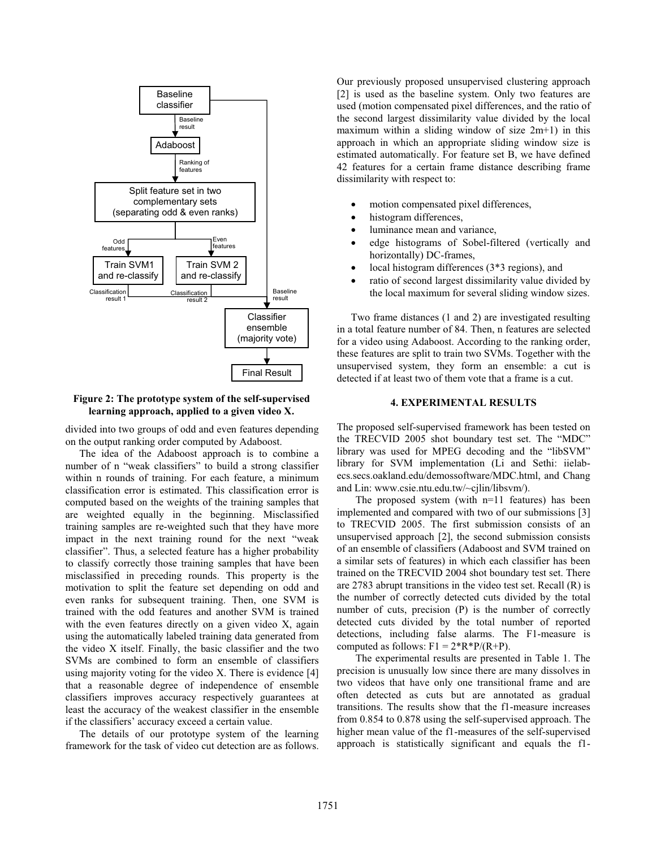

**Figure 2: The prototype system of the self-supervised learning approach, applied to a given video X.** 

divided into two groups of odd and even features depending on the output ranking order computed by Adaboost.

The idea of the Adaboost approach is to combine a number of n "weak classifiers" to build a strong classifier within n rounds of training. For each feature, a minimum classification error is estimated. This classification error is computed based on the weights of the training samples that are weighted equally in the beginning. Misclassified training samples are re-weighted such that they have more impact in the next training round for the next "weak classifier". Thus, a selected feature has a higher probability to classify correctly those training samples that have been misclassified in preceding rounds. This property is the motivation to split the feature set depending on odd and even ranks for subsequent training. Then, one SVM is trained with the odd features and another SVM is trained with the even features directly on a given video X, again using the automatically labeled training data generated from the video X itself. Finally, the basic classifier and the two SVMs are combined to form an ensemble of classifiers using majority voting for the video X. There is evidence [4] that a reasonable degree of independence of ensemble classifiers improves accuracy respectively guarantees at least the accuracy of the weakest classifier in the ensemble if the classifiers' accuracy exceed a certain value.

The details of our prototype system of the learning framework for the task of video cut detection are as follows.

Our previously proposed unsupervised clustering approach [2] is used as the baseline system. Only two features are used (motion compensated pixel differences, and the ratio of the second largest dissimilarity value divided by the local maximum within a sliding window of size 2m+1) in this approach in which an appropriate sliding window size is estimated automatically. For feature set B, we have defined 42 features for a certain frame distance describing frame dissimilarity with respect to:

- motion compensated pixel differences,
- histogram differences,
- luminance mean and variance,
- edge histograms of Sobel-filtered (vertically and horizontally) DC-frames,
- local histogram differences  $(3*3$  regions), and
- ratio of second largest dissimilarity value divided by the local maximum for several sliding window sizes.

Two frame distances (1 and 2) are investigated resulting in a total feature number of 84. Then, n features are selected for a video using Adaboost. According to the ranking order, these features are split to train two SVMs. Together with the unsupervised system, they form an ensemble: a cut is detected if at least two of them vote that a frame is a cut.

# **4. EXPERIMENTAL RESULTS**

The proposed self-supervised framework has been tested on the TRECVID 2005 shot boundary test set. The "MDC" library was used for MPEG decoding and the "libSVM" library for SVM implementation (Li and Sethi: iielabecs.secs.oakland.edu/demossoftware/MDC.html, and Chang and Lin: www.csie.ntu.edu.tw/~cjlin/libsvm/).

The proposed system (with  $n=11$  features) has been implemented and compared with two of our submissions [3] to TRECVID 2005. The first submission consists of an unsupervised approach [2], the second submission consists of an ensemble of classifiers (Adaboost and SVM trained on a similar sets of features) in which each classifier has been trained on the TRECVID 2004 shot boundary test set. There are 2783 abrupt transitions in the video test set. Recall (R) is the number of correctly detected cuts divided by the total number of cuts, precision (P) is the number of correctly detected cuts divided by the total number of reported detections, including false alarms. The F1-measure is computed as follows:  $F1 = 2^*R^*P/(R+P)$ .

The experimental results are presented in Table 1. The precision is unusually low since there are many dissolves in two videos that have only one transitional frame and are often detected as cuts but are annotated as gradual transitions. The results show that the f1-measure increases from 0.854 to 0.878 using the self-supervised approach. The higher mean value of the f1-measures of the self-supervised approach is statistically significant and equals the f1